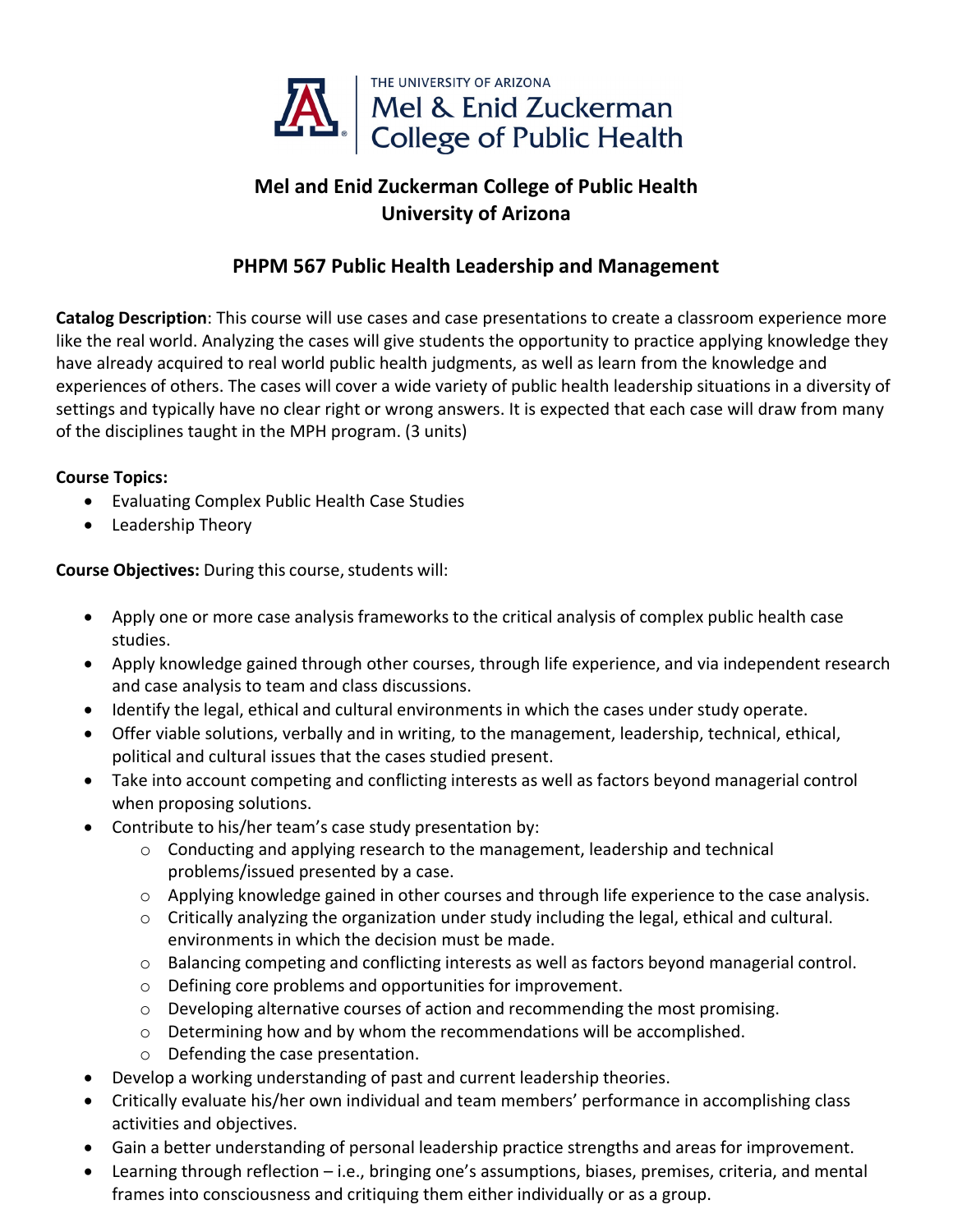

## **Mel and Enid Zuckerman College of Public Health University of Arizona**

## **PHPM 567 Public Health Leadership and Management**

**Catalog Description**: This course will use cases and case presentations to create a classroom experience more like the real world. Analyzing the cases will give students the opportunity to practice applying knowledge they have already acquired to real world public health judgments, as well as learn from the knowledge and experiences of others. The cases will cover a wide variety of public health leadership situations in a diversity of settings and typically have no clear right or wrong answers. It is expected that each case will draw from many of the disciplines taught in the MPH program. (3 units)

## **Course Topics:**

- Evaluating Complex Public Health Case Studies
- Leadership Theory

**Course Objectives:** During this course, students will:

- Apply one or more case analysis frameworks to the critical analysis of complex public health case studies.
- Apply knowledge gained through other courses, through life experience, and via independent research and case analysis to team and class discussions.
- Identify the legal, ethical and cultural environments in which the cases under study operate.
- Offer viable solutions, verbally and in writing, to the management, leadership, technical, ethical, political and cultural issues that the cases studied present.
- Take into account competing and conflicting interests as well as factors beyond managerial control when proposing solutions.
- Contribute to his/her team's case study presentation by:
	- $\circ$  Conducting and applying research to the management, leadership and technical problems/issued presented by a case.
	- o Applying knowledge gained in other courses and through life experience to the case analysis.
	- o Critically analyzing the organization under study including the legal, ethical and cultural. environments in which the decision must be made.
	- o Balancing competing and conflicting interests as well as factors beyond managerial control.
	- o Defining core problems and opportunities for improvement.
	- o Developing alternative courses of action and recommending the most promising.
	- $\circ$  Determining how and by whom the recommendations will be accomplished.
	- o Defending the case presentation.
- Develop a working understanding of past and current leadership theories.
- Critically evaluate his/her own individual and team members' performance in accomplishing class activities and objectives.
- Gain a better understanding of personal leadership practice strengths and areas for improvement.
- Learning through reflection i.e., bringing one's assumptions, biases, premises, criteria, and mental frames into consciousness and critiquing them either individually or as a group.